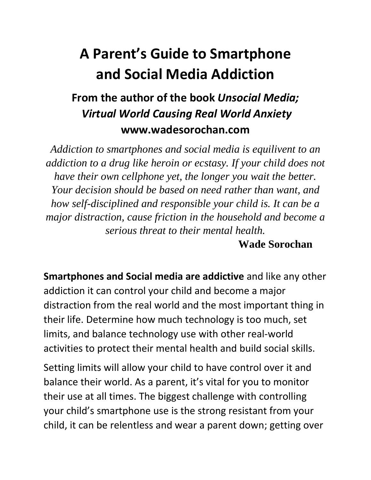## **A Parent's Guide to Smartphone and Social Media Addiction**

## **From the author of the book** *Unsocial Media; Virtual World Causing Real World Anxiety* **www.wadesorochan.com**

*Addiction to smartphones and social media is equilivent to an addiction to a drug like heroin or ecstasy. If your child does not have their own cellphone yet, the longer you wait the better. Your decision should be based on need rather than want, and how self-disciplined and responsible your child is. It can be a major distraction, cause friction in the household and become a serious threat to their mental health.*

## **Wade Sorochan**

**Smartphones and Social media are addictive** and like any other addiction it can control your child and become a major distraction from the real world and the most important thing in their life. Determine how much technology is too much, set limits, and balance technology use with other real-world activities to protect their mental health and build social skills.

Setting limits will allow your child to have control over it and balance their world. As a parent, it's vital for you to monitor their use at all times. The biggest challenge with controlling your child's smartphone use is the strong resistant from your child, it can be relentless and wear a parent down; getting over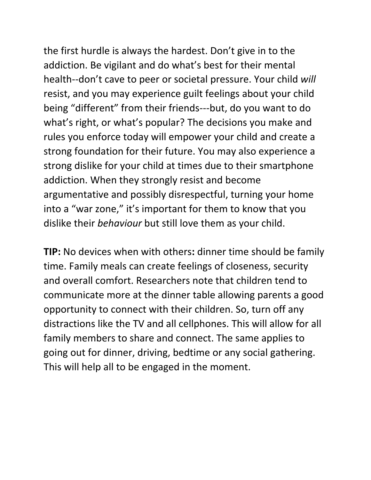the first hurdle is always the hardest. Don't give in to the addiction. Be vigilant and do what's best for their mental health--don't cave to peer or societal pressure. Your child *will*  resist, and you may experience guilt feelings about your child being "different" from their friends---but, do you want to do what's right, or what's popular? The decisions you make and rules you enforce today will empower your child and create a strong foundation for their future. You may also experience a strong dislike for your child at times due to their smartphone addiction. When they strongly resist and become argumentative and possibly disrespectful, turning your home into a "war zone," it's important for them to know that you dislike their *behaviour* but still love them as your child.

**TIP:** No devices when with others**:** dinner time should be family time. Family meals can create feelings of closeness, security and overall comfort. Researchers note that children tend to communicate more at the dinner table allowing parents a good opportunity to connect with their children. So, turn off any distractions like the TV and all cellphones. This will allow for all family members to share and connect. The same applies to going out for dinner, driving, bedtime or any social gathering. This will help all to be engaged in the moment.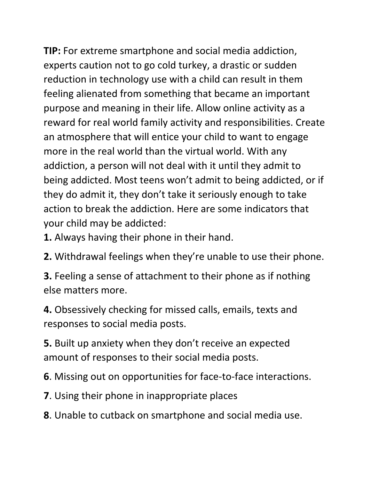**TIP:** For extreme smartphone and social media addiction, experts caution not to go cold turkey, a drastic or sudden reduction in technology use with a child can result in them feeling alienated from something that became an important purpose and meaning in their life. Allow online activity as a reward for real world family activity and responsibilities. Create an atmosphere that will entice your child to want to engage more in the real world than the virtual world. With any addiction, a person will not deal with it until they admit to being addicted. Most teens won't admit to being addicted, or if they do admit it, they don't take it seriously enough to take action to break the addiction. Here are some indicators that your child may be addicted:

**1.** Always having their phone in their hand.

**2.** Withdrawal feelings when they're unable to use their phone.

**3.** Feeling a sense of attachment to their phone as if nothing else matters more.

**4.** Obsessively checking for missed calls, emails, texts and responses to social media posts.

**5.** Built up anxiety when they don't receive an expected amount of responses to their social media posts.

**6**. Missing out on opportunities for face-to-face interactions.

**7**. Using their phone in inappropriate places

**8**. Unable to cutback on smartphone and social media use.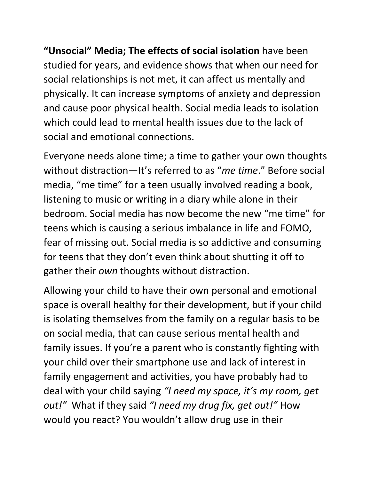**"Unsocial" Media; The effects of social isolation** have been studied for years, and evidence shows that when our need for social relationships is not met, it can affect us mentally and physically. It can increase symptoms of anxiety and depression and cause poor physical health. Social media leads to isolation which could lead to mental health issues due to the lack of social and emotional connections.

Everyone needs alone time; a time to gather your own thoughts without distraction—It's referred to as "*me time*." Before social media, "me time" for a teen usually involved reading a book, listening to music or writing in a diary while alone in their bedroom. Social media has now become the new "me time" for teens which is causing a serious imbalance in life and FOMO, fear of missing out. Social media is so addictive and consuming for teens that they don't even think about shutting it off to gather their *own* thoughts without distraction.

Allowing your child to have their own personal and emotional space is overall healthy for their development, but if your child is isolating themselves from the family on a regular basis to be on social media, that can cause serious mental health and family issues. If you're a parent who is constantly fighting with your child over their smartphone use and lack of interest in family engagement and activities, you have probably had to deal with your child saying *"I need my space, it's my room, get out!"* What if they said *"I need my drug fix, get out!"* How would you react? You wouldn't allow drug use in their